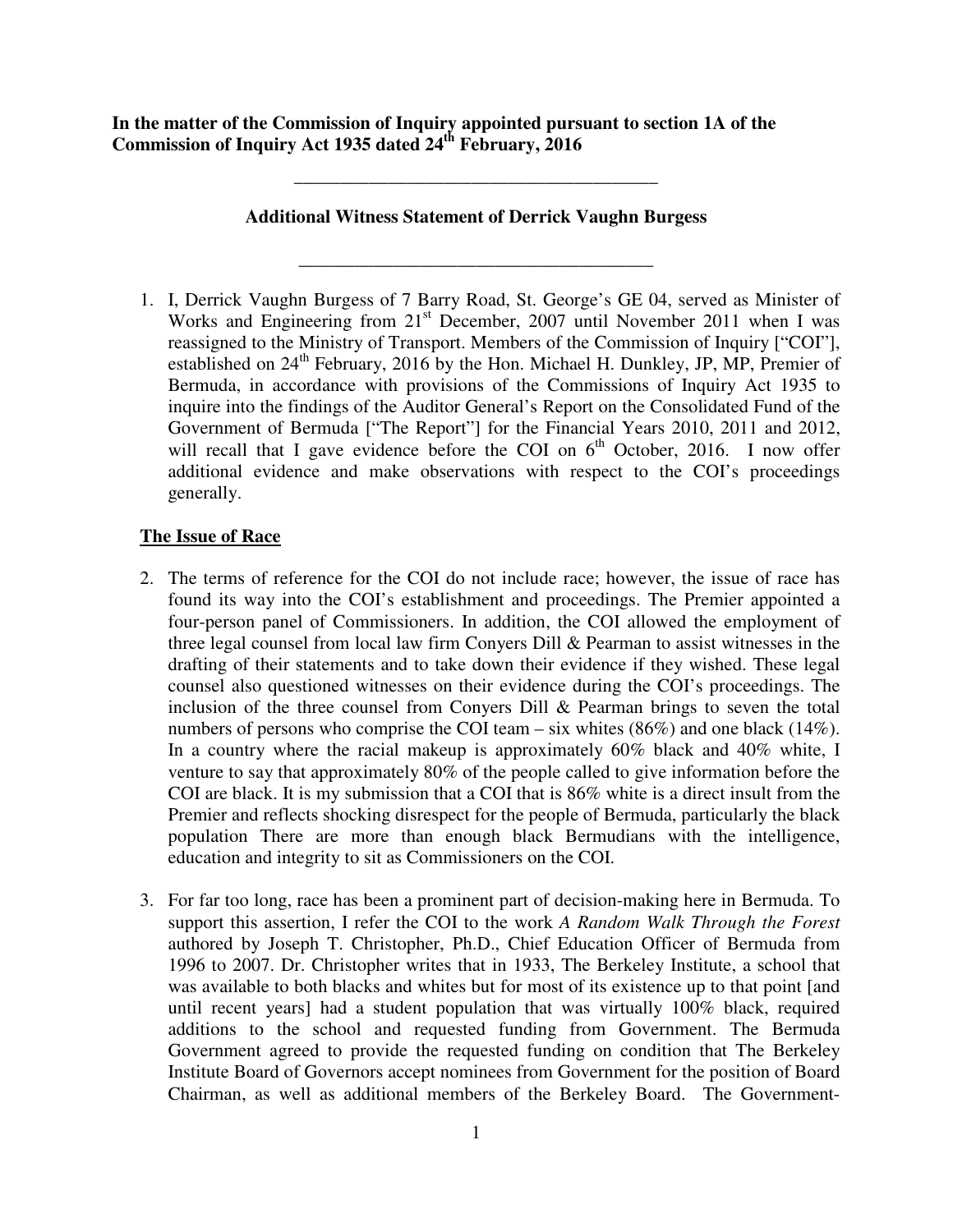**In the matter of the Commission of Inquiry appointed pursuant to section 1A of the Commission of Inquiry Act 1935 dated 24th February, 2016** 

## **Additional Witness Statement of Derrick Vaughn Burgess**

**\_\_\_\_\_\_\_\_\_\_\_\_\_\_\_\_\_\_\_\_\_\_\_\_\_\_\_\_\_\_\_\_\_\_\_\_\_\_** 

**\_\_\_\_\_\_\_\_\_\_\_\_\_\_\_\_\_\_\_\_\_\_\_\_\_\_\_\_\_\_\_\_\_\_\_\_\_\_\_** 

1. I, Derrick Vaughn Burgess of 7 Barry Road, St. George's GE 04, served as Minister of Works and Engineering from  $21<sup>st</sup>$  December, 2007 until November 2011 when I was reassigned to the Ministry of Transport. Members of the Commission of Inquiry ["COI"], established on  $24<sup>th</sup>$  February, 2016 by the Hon. Michael H. Dunkley, JP, MP, Premier of Bermuda, in accordance with provisions of the Commissions of Inquiry Act 1935 to inquire into the findings of the Auditor General's Report on the Consolidated Fund of the Government of Bermuda ["The Report"] for the Financial Years 2010, 2011 and 2012, will recall that I gave evidence before the COI on  $6<sup>th</sup>$  October, 2016. I now offer additional evidence and make observations with respect to the COI's proceedings generally.

# **The Issue of Race**

- 2. The terms of reference for the COI do not include race; however, the issue of race has found its way into the COI's establishment and proceedings. The Premier appointed a four-person panel of Commissioners. In addition, the COI allowed the employment of three legal counsel from local law firm Conyers Dill & Pearman to assist witnesses in the drafting of their statements and to take down their evidence if they wished. These legal counsel also questioned witnesses on their evidence during the COI's proceedings. The inclusion of the three counsel from Conyers Dill & Pearman brings to seven the total numbers of persons who comprise the COI team – six whites (86%) and one black (14%). In a country where the racial makeup is approximately 60% black and 40% white, I venture to say that approximately 80% of the people called to give information before the COI are black. It is my submission that a COI that is 86% white is a direct insult from the Premier and reflects shocking disrespect for the people of Bermuda, particularly the black population There are more than enough black Bermudians with the intelligence, education and integrity to sit as Commissioners on the COI.
- 3. For far too long, race has been a prominent part of decision-making here in Bermuda. To support this assertion, I refer the COI to the work *A Random Walk Through the Forest*  authored by Joseph T. Christopher, Ph.D., Chief Education Officer of Bermuda from 1996 to 2007. Dr. Christopher writes that in 1933, The Berkeley Institute, a school that was available to both blacks and whites but for most of its existence up to that point [and until recent years] had a student population that was virtually 100% black, required additions to the school and requested funding from Government. The Bermuda Government agreed to provide the requested funding on condition that The Berkeley Institute Board of Governors accept nominees from Government for the position of Board Chairman, as well as additional members of the Berkeley Board. The Government-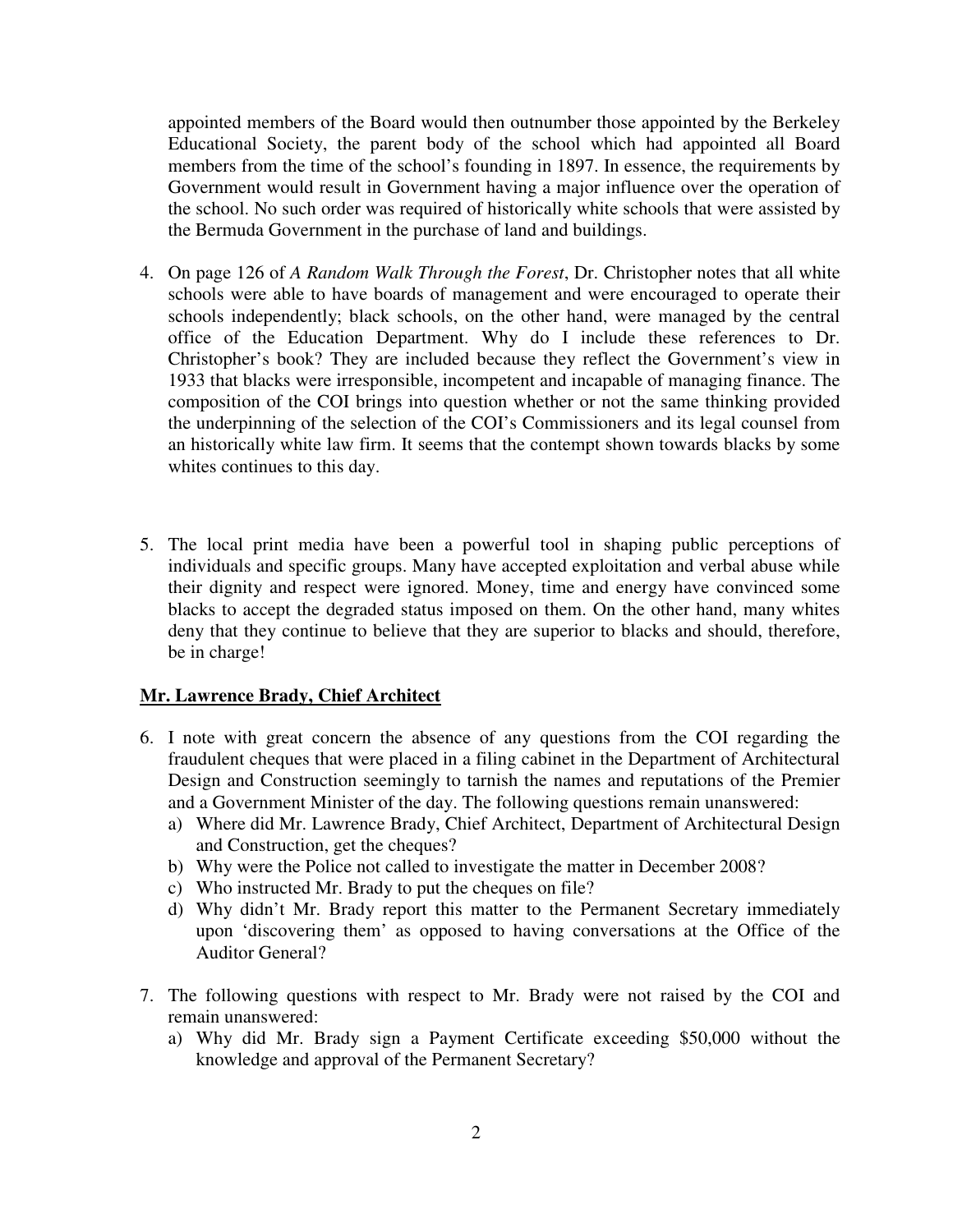appointed members of the Board would then outnumber those appointed by the Berkeley Educational Society, the parent body of the school which had appointed all Board members from the time of the school's founding in 1897. In essence, the requirements by Government would result in Government having a major influence over the operation of the school. No such order was required of historically white schools that were assisted by the Bermuda Government in the purchase of land and buildings.

- 4. On page 126 of *A Random Walk Through the Forest*, Dr. Christopher notes that all white schools were able to have boards of management and were encouraged to operate their schools independently; black schools, on the other hand, were managed by the central office of the Education Department. Why do I include these references to Dr. Christopher's book? They are included because they reflect the Government's view in 1933 that blacks were irresponsible, incompetent and incapable of managing finance. The composition of the COI brings into question whether or not the same thinking provided the underpinning of the selection of the COI's Commissioners and its legal counsel from an historically white law firm. It seems that the contempt shown towards blacks by some whites continues to this day.
- 5. The local print media have been a powerful tool in shaping public perceptions of individuals and specific groups. Many have accepted exploitation and verbal abuse while their dignity and respect were ignored. Money, time and energy have convinced some blacks to accept the degraded status imposed on them. On the other hand, many whites deny that they continue to believe that they are superior to blacks and should, therefore, be in charge!

### **Mr. Lawrence Brady, Chief Architect**

- 6. I note with great concern the absence of any questions from the COI regarding the fraudulent cheques that were placed in a filing cabinet in the Department of Architectural Design and Construction seemingly to tarnish the names and reputations of the Premier and a Government Minister of the day. The following questions remain unanswered:
	- a) Where did Mr. Lawrence Brady, Chief Architect, Department of Architectural Design and Construction, get the cheques?
	- b) Why were the Police not called to investigate the matter in December 2008?
	- c) Who instructed Mr. Brady to put the cheques on file?
	- d) Why didn't Mr. Brady report this matter to the Permanent Secretary immediately upon 'discovering them' as opposed to having conversations at the Office of the Auditor General?
- 7. The following questions with respect to Mr. Brady were not raised by the COI and remain unanswered:
	- a) Why did Mr. Brady sign a Payment Certificate exceeding \$50,000 without the knowledge and approval of the Permanent Secretary?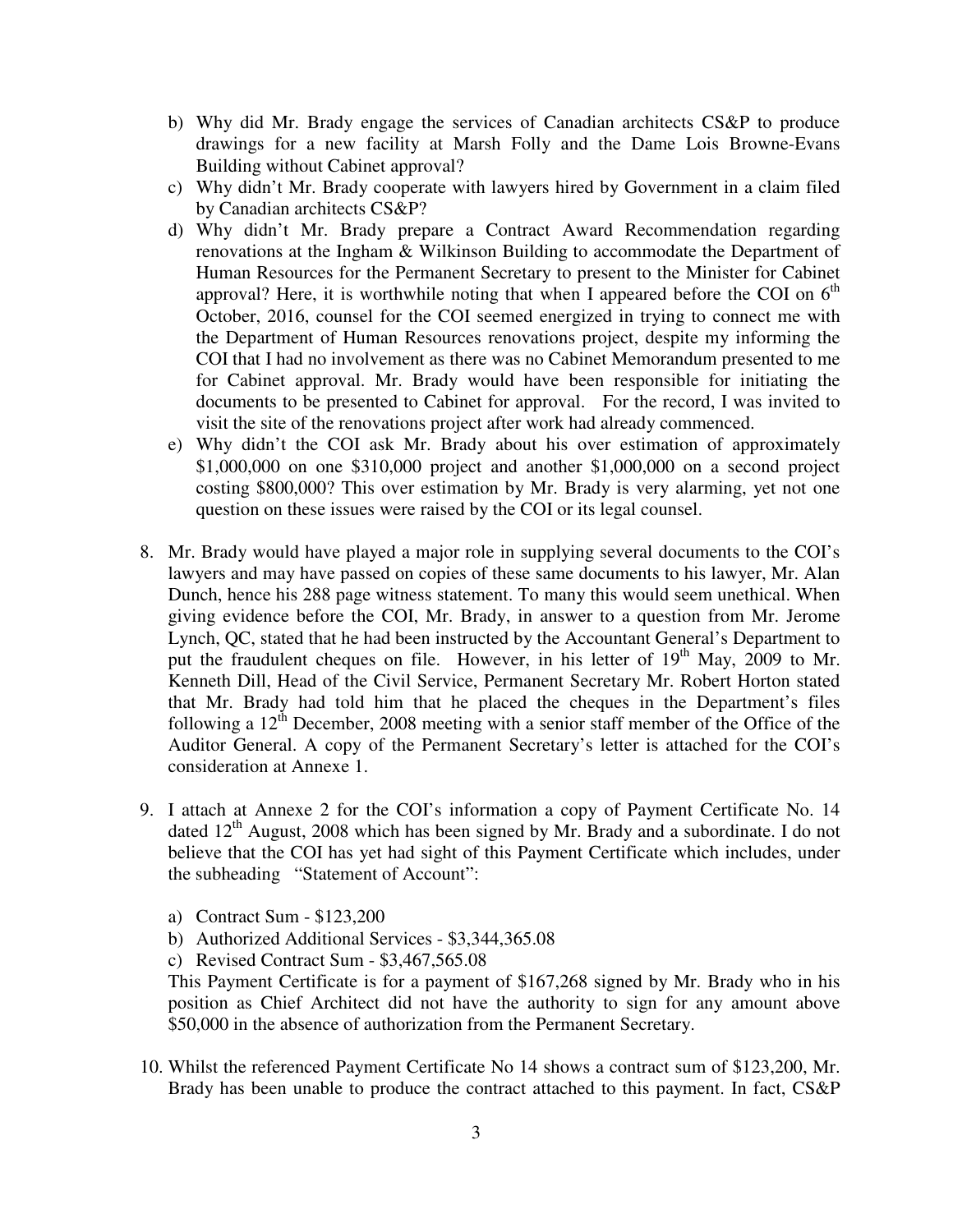- b) Why did Mr. Brady engage the services of Canadian architects CS&P to produce drawings for a new facility at Marsh Folly and the Dame Lois Browne-Evans Building without Cabinet approval?
- c) Why didn't Mr. Brady cooperate with lawyers hired by Government in a claim filed by Canadian architects CS&P?
- d) Why didn't Mr. Brady prepare a Contract Award Recommendation regarding renovations at the Ingham & Wilkinson Building to accommodate the Department of Human Resources for the Permanent Secretary to present to the Minister for Cabinet approval? Here, it is worthwhile noting that when I appeared before the COI on  $6<sup>th</sup>$ October, 2016, counsel for the COI seemed energized in trying to connect me with the Department of Human Resources renovations project, despite my informing the COI that I had no involvement as there was no Cabinet Memorandum presented to me for Cabinet approval. Mr. Brady would have been responsible for initiating the documents to be presented to Cabinet for approval. For the record, I was invited to visit the site of the renovations project after work had already commenced.
- e) Why didn't the COI ask Mr. Brady about his over estimation of approximately \$1,000,000 on one \$310,000 project and another \$1,000,000 on a second project costing \$800,000? This over estimation by Mr. Brady is very alarming, yet not one question on these issues were raised by the COI or its legal counsel.
- 8. Mr. Brady would have played a major role in supplying several documents to the COI's lawyers and may have passed on copies of these same documents to his lawyer, Mr. Alan Dunch, hence his 288 page witness statement. To many this would seem unethical. When giving evidence before the COI, Mr. Brady, in answer to a question from Mr. Jerome Lynch, QC, stated that he had been instructed by the Accountant General's Department to put the fraudulent cheques on file. However, in his letter of  $19<sup>th</sup>$  May, 2009 to Mr. Kenneth Dill, Head of the Civil Service, Permanent Secretary Mr. Robert Horton stated that Mr. Brady had told him that he placed the cheques in the Department's files following a  $12<sup>th</sup>$  December, 2008 meeting with a senior staff member of the Office of the Auditor General. A copy of the Permanent Secretary's letter is attached for the COI's consideration at Annexe 1.
- 9. I attach at Annexe 2 for the COI's information a copy of Payment Certificate No. 14 dated 12<sup>th</sup> August, 2008 which has been signed by Mr. Brady and a subordinate. I do not believe that the COI has yet had sight of this Payment Certificate which includes, under the subheading "Statement of Account":
	- a) Contract Sum \$123,200
	- b) Authorized Additional Services \$3,344,365.08
	- c) Revised Contract Sum \$3,467,565.08

This Payment Certificate is for a payment of \$167,268 signed by Mr. Brady who in his position as Chief Architect did not have the authority to sign for any amount above \$50,000 in the absence of authorization from the Permanent Secretary.

10. Whilst the referenced Payment Certificate No 14 shows a contract sum of \$123,200, Mr. Brady has been unable to produce the contract attached to this payment. In fact, CS&P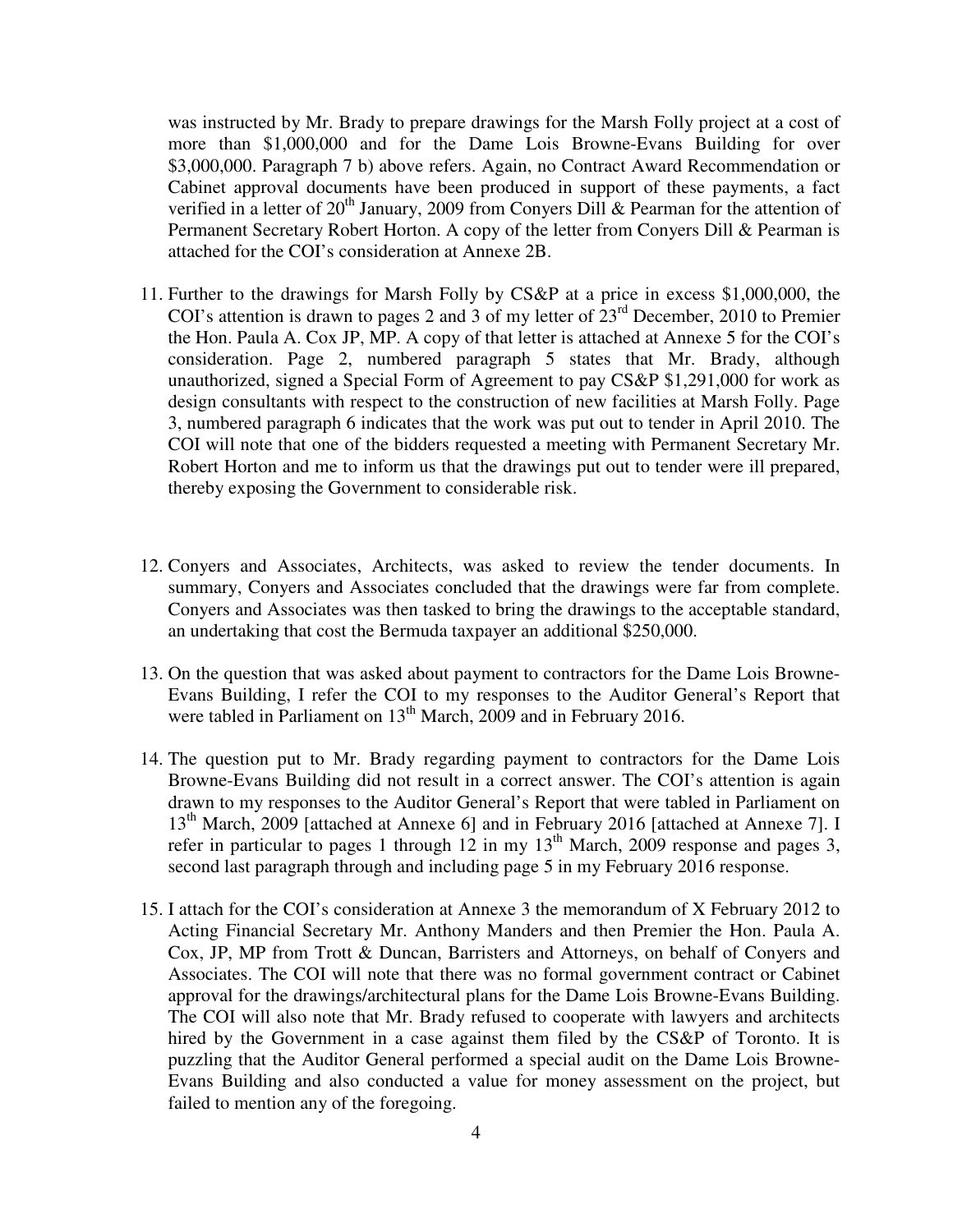was instructed by Mr. Brady to prepare drawings for the Marsh Folly project at a cost of more than \$1,000,000 and for the Dame Lois Browne-Evans Building for over \$3,000,000. Paragraph 7 b) above refers. Again, no Contract Award Recommendation or Cabinet approval documents have been produced in support of these payments, a fact verified in a letter of  $20<sup>th</sup>$  January, 2009 from Convers Dill & Pearman for the attention of Permanent Secretary Robert Horton. A copy of the letter from Conyers Dill & Pearman is attached for the COI's consideration at Annexe 2B.

- 11. Further to the drawings for Marsh Folly by CS&P at a price in excess \$1,000,000, the COI's attention is drawn to pages 2 and 3 of my letter of  $23<sup>rd</sup>$  December, 2010 to Premier the Hon. Paula A. Cox JP, MP. A copy of that letter is attached at Annexe 5 for the COI's consideration. Page 2, numbered paragraph 5 states that Mr. Brady, although unauthorized, signed a Special Form of Agreement to pay CS&P \$1,291,000 for work as design consultants with respect to the construction of new facilities at Marsh Folly. Page 3, numbered paragraph 6 indicates that the work was put out to tender in April 2010. The COI will note that one of the bidders requested a meeting with Permanent Secretary Mr. Robert Horton and me to inform us that the drawings put out to tender were ill prepared, thereby exposing the Government to considerable risk.
- 12. Conyers and Associates, Architects, was asked to review the tender documents. In summary, Conyers and Associates concluded that the drawings were far from complete. Conyers and Associates was then tasked to bring the drawings to the acceptable standard, an undertaking that cost the Bermuda taxpayer an additional \$250,000.
- 13. On the question that was asked about payment to contractors for the Dame Lois Browne-Evans Building, I refer the COI to my responses to the Auditor General's Report that were tabled in Parliament on  $13<sup>th</sup>$  March, 2009 and in February 2016.
- 14. The question put to Mr. Brady regarding payment to contractors for the Dame Lois Browne-Evans Building did not result in a correct answer. The COI's attention is again drawn to my responses to the Auditor General's Report that were tabled in Parliament on 13<sup>th</sup> March, 2009 [attached at Annexe 6] and in February 2016 [attached at Annexe 7]. I refer in particular to pages 1 through  $12$  in my  $13<sup>th</sup>$  March, 2009 response and pages 3, second last paragraph through and including page 5 in my February 2016 response.
- 15. I attach for the COI's consideration at Annexe 3 the memorandum of X February 2012 to Acting Financial Secretary Mr. Anthony Manders and then Premier the Hon. Paula A. Cox, JP, MP from Trott & Duncan, Barristers and Attorneys, on behalf of Conyers and Associates. The COI will note that there was no formal government contract or Cabinet approval for the drawings/architectural plans for the Dame Lois Browne-Evans Building. The COI will also note that Mr. Brady refused to cooperate with lawyers and architects hired by the Government in a case against them filed by the CS&P of Toronto. It is puzzling that the Auditor General performed a special audit on the Dame Lois Browne-Evans Building and also conducted a value for money assessment on the project, but failed to mention any of the foregoing.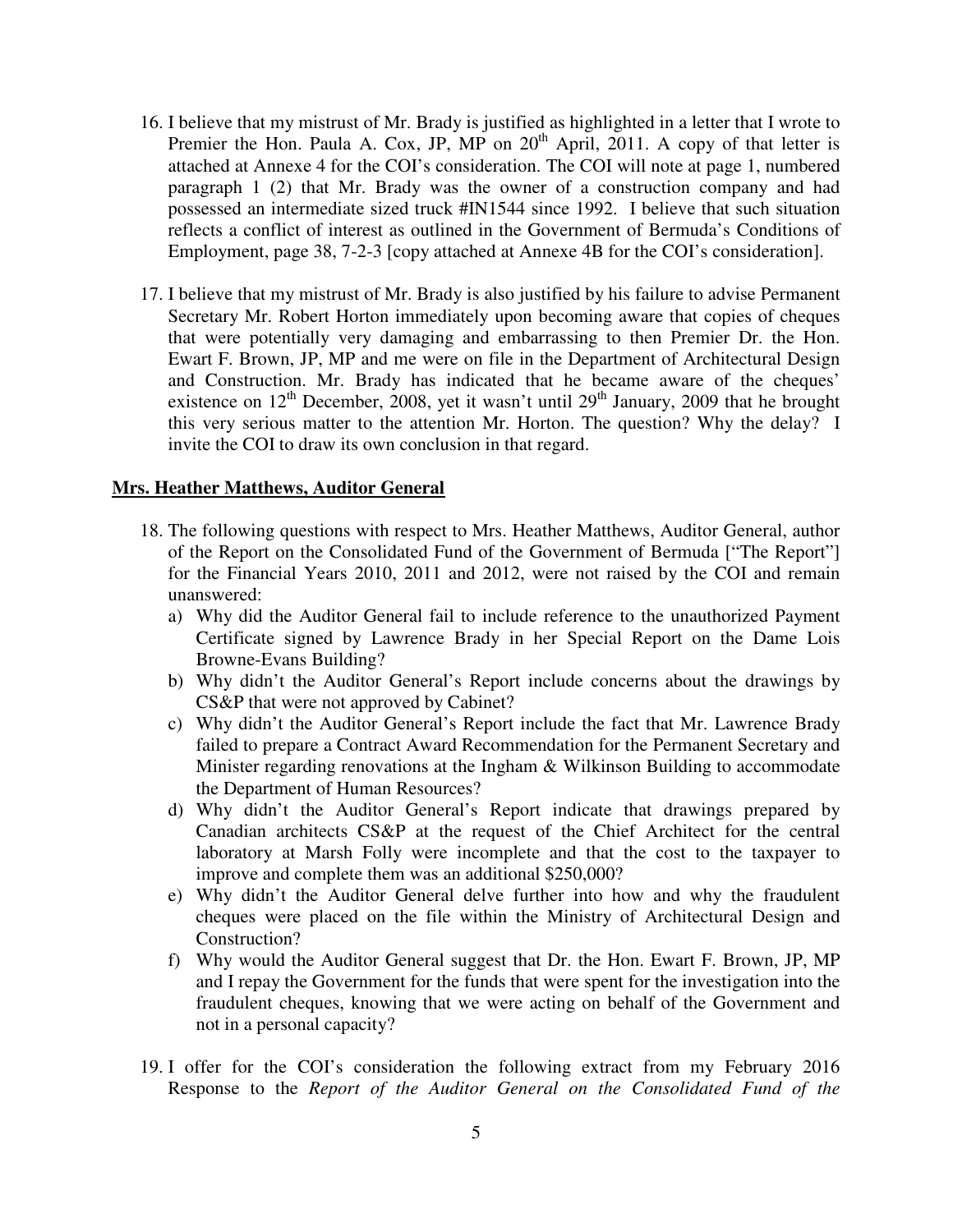- 16. I believe that my mistrust of Mr. Brady is justified as highlighted in a letter that I wrote to Premier the Hon. Paula A. Cox, JP,  $MP$  on  $20<sup>th</sup>$  April, 2011. A copy of that letter is attached at Annexe 4 for the COI's consideration. The COI will note at page 1, numbered paragraph 1 (2) that Mr. Brady was the owner of a construction company and had possessed an intermediate sized truck #IN1544 since 1992. I believe that such situation reflects a conflict of interest as outlined in the Government of Bermuda's Conditions of Employment, page 38, 7-2-3 [copy attached at Annexe 4B for the COI's consideration].
- 17. I believe that my mistrust of Mr. Brady is also justified by his failure to advise Permanent Secretary Mr. Robert Horton immediately upon becoming aware that copies of cheques that were potentially very damaging and embarrassing to then Premier Dr. the Hon. Ewart F. Brown, JP, MP and me were on file in the Department of Architectural Design and Construction. Mr. Brady has indicated that he became aware of the cheques' existence on  $12^{th}$  December, 2008, yet it wasn't until  $29^{th}$  January, 2009 that he brought this very serious matter to the attention Mr. Horton. The question? Why the delay? I invite the COI to draw its own conclusion in that regard.

#### **Mrs. Heather Matthews, Auditor General**

- 18. The following questions with respect to Mrs. Heather Matthews, Auditor General, author of the Report on the Consolidated Fund of the Government of Bermuda ["The Report"] for the Financial Years 2010, 2011 and 2012, were not raised by the COI and remain unanswered:
	- a) Why did the Auditor General fail to include reference to the unauthorized Payment Certificate signed by Lawrence Brady in her Special Report on the Dame Lois Browne-Evans Building?
	- b) Why didn't the Auditor General's Report include concerns about the drawings by CS&P that were not approved by Cabinet?
	- c) Why didn't the Auditor General's Report include the fact that Mr. Lawrence Brady failed to prepare a Contract Award Recommendation for the Permanent Secretary and Minister regarding renovations at the Ingham & Wilkinson Building to accommodate the Department of Human Resources?
	- d) Why didn't the Auditor General's Report indicate that drawings prepared by Canadian architects CS&P at the request of the Chief Architect for the central laboratory at Marsh Folly were incomplete and that the cost to the taxpayer to improve and complete them was an additional \$250,000?
	- e) Why didn't the Auditor General delve further into how and why the fraudulent cheques were placed on the file within the Ministry of Architectural Design and Construction?
	- f) Why would the Auditor General suggest that Dr. the Hon. Ewart F. Brown, JP, MP and I repay the Government for the funds that were spent for the investigation into the fraudulent cheques, knowing that we were acting on behalf of the Government and not in a personal capacity?
- 19. I offer for the COI's consideration the following extract from my February 2016 Response to the *Report of the Auditor General on the Consolidated Fund of the*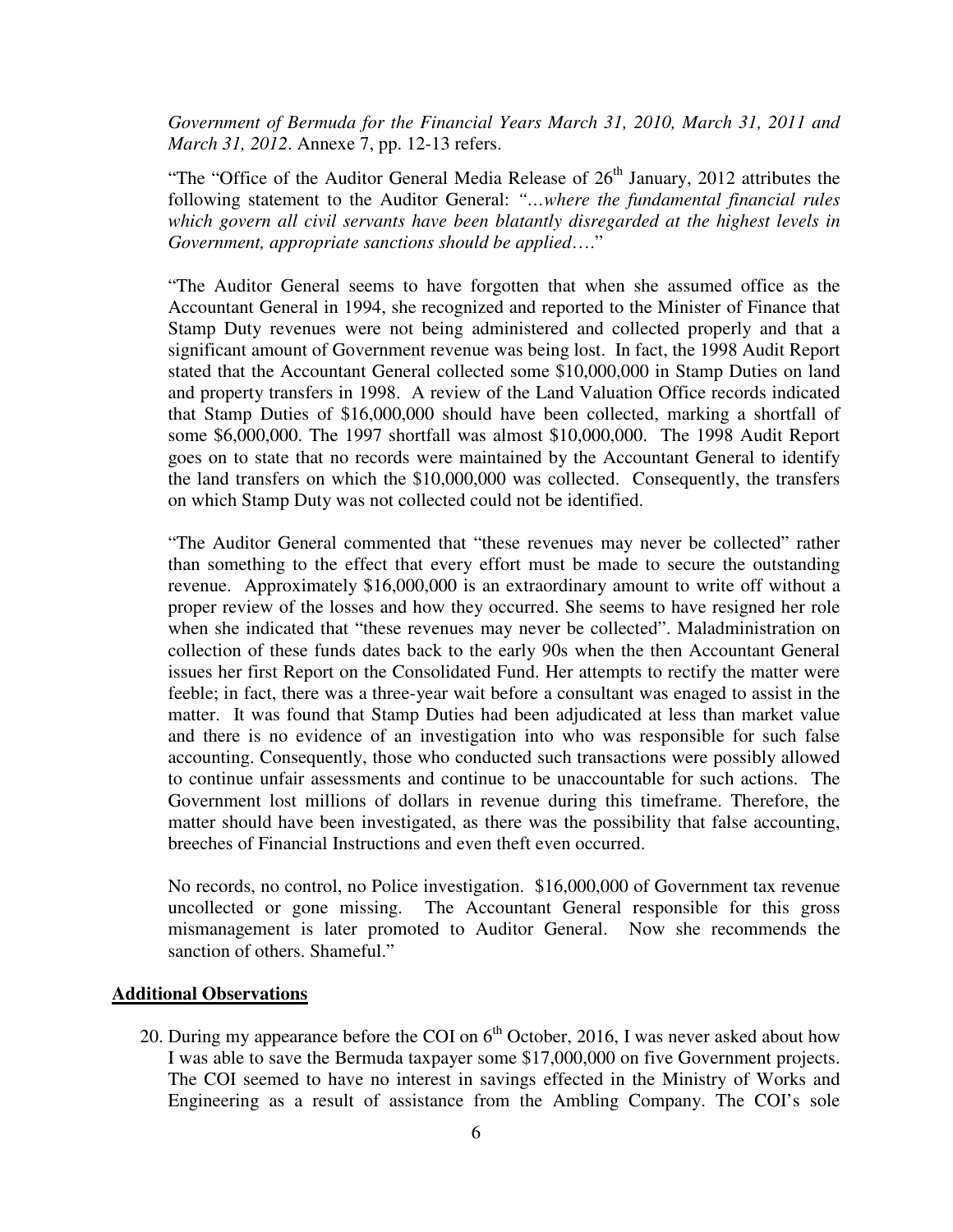*Government of Bermuda for the Financial Years March 31, 2010, March 31, 2011 and March 31, 2012*. Annexe 7, pp. 12-13 refers.

"The "Office of the Auditor General Media Release of  $26<sup>th</sup>$  January, 2012 attributes the following statement to the Auditor General: *"…where the fundamental financial rules which govern all civil servants have been blatantly disregarded at the highest levels in Government, appropriate sanctions should be applied*…."

 "The Auditor General seems to have forgotten that when she assumed office as the Accountant General in 1994, she recognized and reported to the Minister of Finance that Stamp Duty revenues were not being administered and collected properly and that a significant amount of Government revenue was being lost. In fact, the 1998 Audit Report stated that the Accountant General collected some \$10,000,000 in Stamp Duties on land and property transfers in 1998. A review of the Land Valuation Office records indicated that Stamp Duties of \$16,000,000 should have been collected, marking a shortfall of some \$6,000,000. The 1997 shortfall was almost \$10,000,000. The 1998 Audit Report goes on to state that no records were maintained by the Accountant General to identify the land transfers on which the \$10,000,000 was collected. Consequently, the transfers on which Stamp Duty was not collected could not be identified.

"The Auditor General commented that "these revenues may never be collected" rather than something to the effect that every effort must be made to secure the outstanding revenue. Approximately \$16,000,000 is an extraordinary amount to write off without a proper review of the losses and how they occurred. She seems to have resigned her role when she indicated that "these revenues may never be collected". Maladministration on collection of these funds dates back to the early 90s when the then Accountant General issues her first Report on the Consolidated Fund. Her attempts to rectify the matter were feeble; in fact, there was a three-year wait before a consultant was enaged to assist in the matter. It was found that Stamp Duties had been adjudicated at less than market value and there is no evidence of an investigation into who was responsible for such false accounting. Consequently, those who conducted such transactions were possibly allowed to continue unfair assessments and continue to be unaccountable for such actions. The Government lost millions of dollars in revenue during this timeframe. Therefore, the matter should have been investigated, as there was the possibility that false accounting, breeches of Financial Instructions and even theft even occurred.

No records, no control, no Police investigation. \$16,000,000 of Government tax revenue uncollected or gone missing. The Accountant General responsible for this gross mismanagement is later promoted to Auditor General. Now she recommends the sanction of others. Shameful."

#### **Additional Observations**

20. During my appearance before the COI on  $6<sup>th</sup>$  October, 2016, I was never asked about how I was able to save the Bermuda taxpayer some \$17,000,000 on five Government projects. The COI seemed to have no interest in savings effected in the Ministry of Works and Engineering as a result of assistance from the Ambling Company. The COI's sole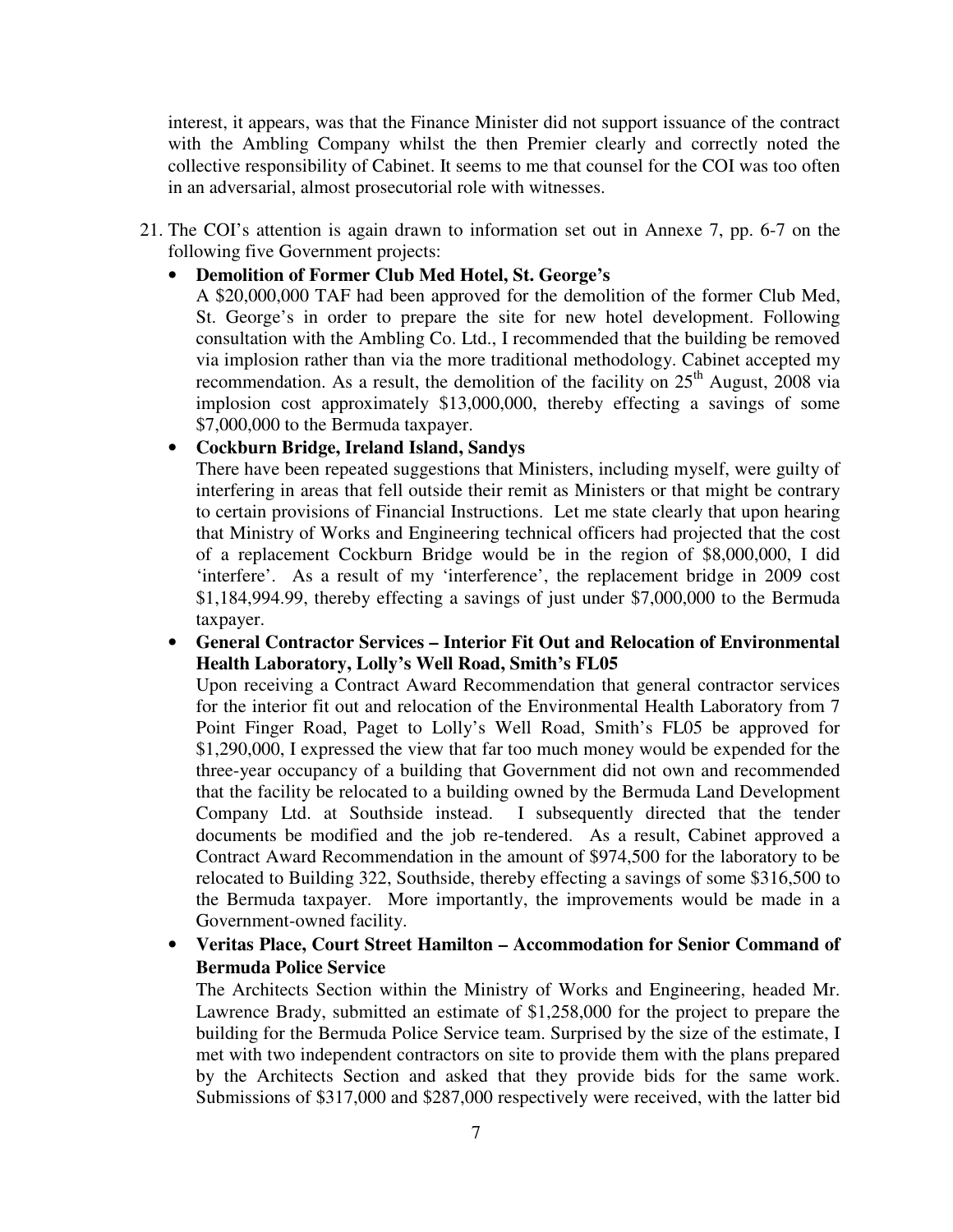interest, it appears, was that the Finance Minister did not support issuance of the contract with the Ambling Company whilst the then Premier clearly and correctly noted the collective responsibility of Cabinet. It seems to me that counsel for the COI was too often in an adversarial, almost prosecutorial role with witnesses.

21. The COI's attention is again drawn to information set out in Annexe 7, pp. 6-7 on the following five Government projects:

### • **Demolition of Former Club Med Hotel, St. George's**

A \$20,000,000 TAF had been approved for the demolition of the former Club Med, St. George's in order to prepare the site for new hotel development. Following consultation with the Ambling Co. Ltd., I recommended that the building be removed via implosion rather than via the more traditional methodology. Cabinet accepted my recommendation. As a result, the demolition of the facility on  $25<sup>th</sup>$  August, 2008 via implosion cost approximately \$13,000,000, thereby effecting a savings of some \$7,000,000 to the Bermuda taxpayer.

### • **Cockburn Bridge, Ireland Island, Sandys**

There have been repeated suggestions that Ministers, including myself, were guilty of interfering in areas that fell outside their remit as Ministers or that might be contrary to certain provisions of Financial Instructions. Let me state clearly that upon hearing that Ministry of Works and Engineering technical officers had projected that the cost of a replacement Cockburn Bridge would be in the region of \$8,000,000, I did 'interfere'. As a result of my 'interference', the replacement bridge in 2009 cost \$1,184,994.99, thereby effecting a savings of just under \$7,000,000 to the Bermuda taxpayer.

## • **General Contractor Services – Interior Fit Out and Relocation of Environmental Health Laboratory, Lolly's Well Road, Smith's FL05**

Upon receiving a Contract Award Recommendation that general contractor services for the interior fit out and relocation of the Environmental Health Laboratory from 7 Point Finger Road, Paget to Lolly's Well Road, Smith's FL05 be approved for \$1,290,000, I expressed the view that far too much money would be expended for the three-year occupancy of a building that Government did not own and recommended that the facility be relocated to a building owned by the Bermuda Land Development Company Ltd. at Southside instead. I subsequently directed that the tender documents be modified and the job re-tendered. As a result, Cabinet approved a Contract Award Recommendation in the amount of \$974,500 for the laboratory to be relocated to Building 322, Southside, thereby effecting a savings of some \$316,500 to the Bermuda taxpayer. More importantly, the improvements would be made in a Government-owned facility.

# • **Veritas Place, Court Street Hamilton – Accommodation for Senior Command of Bermuda Police Service**

The Architects Section within the Ministry of Works and Engineering, headed Mr. Lawrence Brady, submitted an estimate of \$1,258,000 for the project to prepare the building for the Bermuda Police Service team. Surprised by the size of the estimate, I met with two independent contractors on site to provide them with the plans prepared by the Architects Section and asked that they provide bids for the same work. Submissions of \$317,000 and \$287,000 respectively were received, with the latter bid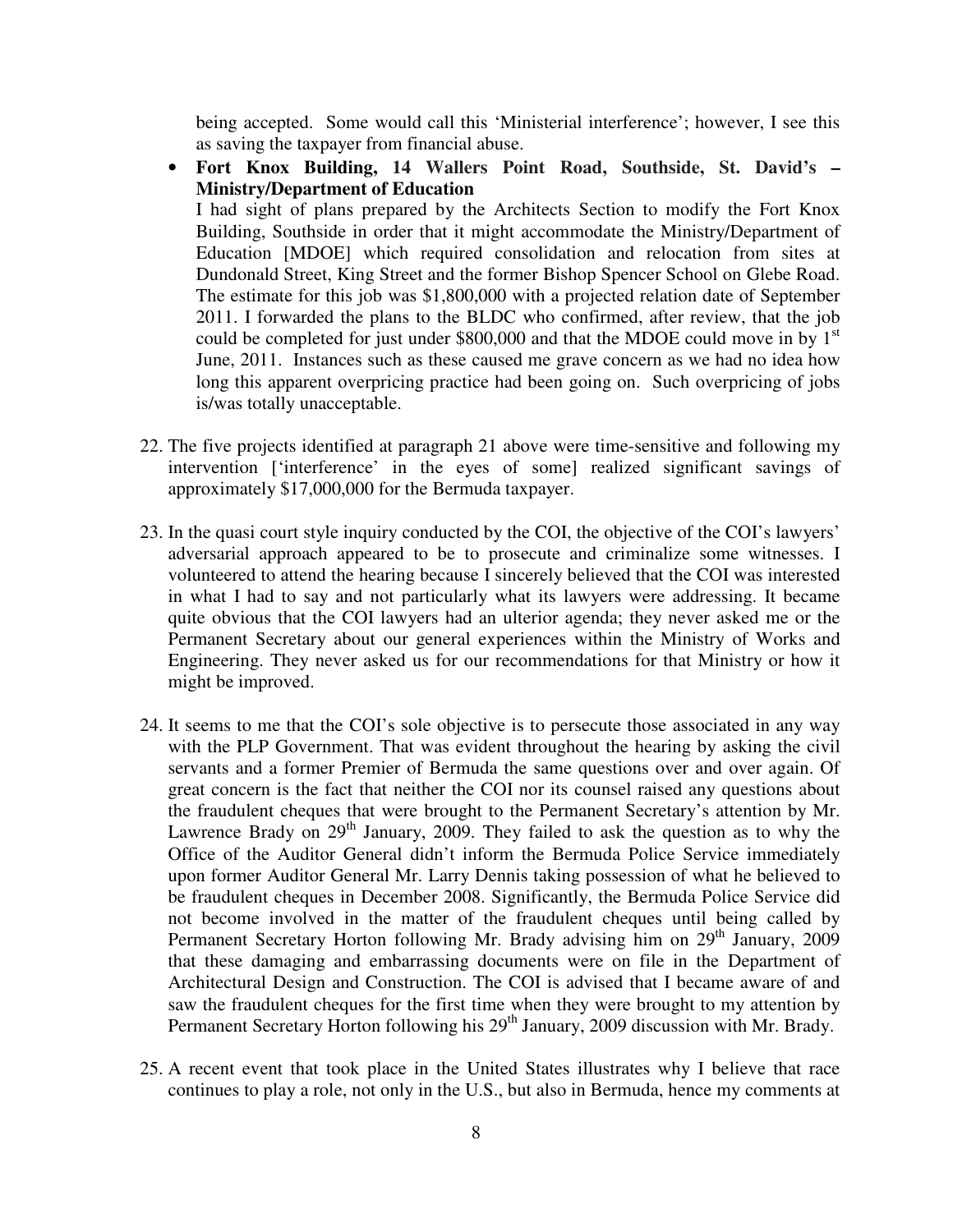being accepted. Some would call this 'Ministerial interference'; however, I see this as saving the taxpayer from financial abuse.

• **Fort Knox Building, 14 Wallers Point Road, Southside, St. David's – Ministry/Department of Education** 

I had sight of plans prepared by the Architects Section to modify the Fort Knox Building, Southside in order that it might accommodate the Ministry/Department of Education [MDOE] which required consolidation and relocation from sites at Dundonald Street, King Street and the former Bishop Spencer School on Glebe Road. The estimate for this job was \$1,800,000 with a projected relation date of September 2011. I forwarded the plans to the BLDC who confirmed, after review, that the job could be completed for just under  $$800,000$  and that the MDOE could move in by  $1<sup>st</sup>$ June, 2011. Instances such as these caused me grave concern as we had no idea how long this apparent overpricing practice had been going on. Such overpricing of jobs is/was totally unacceptable.

- 22. The five projects identified at paragraph 21 above were time-sensitive and following my intervention ['interference' in the eyes of some] realized significant savings of approximately \$17,000,000 for the Bermuda taxpayer.
- 23. In the quasi court style inquiry conducted by the COI, the objective of the COI's lawyers' adversarial approach appeared to be to prosecute and criminalize some witnesses. I volunteered to attend the hearing because I sincerely believed that the COI was interested in what I had to say and not particularly what its lawyers were addressing. It became quite obvious that the COI lawyers had an ulterior agenda; they never asked me or the Permanent Secretary about our general experiences within the Ministry of Works and Engineering. They never asked us for our recommendations for that Ministry or how it might be improved.
- 24. It seems to me that the COI's sole objective is to persecute those associated in any way with the PLP Government. That was evident throughout the hearing by asking the civil servants and a former Premier of Bermuda the same questions over and over again. Of great concern is the fact that neither the COI nor its counsel raised any questions about the fraudulent cheques that were brought to the Permanent Secretary's attention by Mr. Lawrence Brady on  $29<sup>th</sup>$  January, 2009. They failed to ask the question as to why the Office of the Auditor General didn't inform the Bermuda Police Service immediately upon former Auditor General Mr. Larry Dennis taking possession of what he believed to be fraudulent cheques in December 2008. Significantly, the Bermuda Police Service did not become involved in the matter of the fraudulent cheques until being called by Permanent Secretary Horton following Mr. Brady advising him on 29<sup>th</sup> January, 2009 that these damaging and embarrassing documents were on file in the Department of Architectural Design and Construction. The COI is advised that I became aware of and saw the fraudulent cheques for the first time when they were brought to my attention by Permanent Secretary Horton following his 29<sup>th</sup> January, 2009 discussion with Mr. Brady.
- 25. A recent event that took place in the United States illustrates why I believe that race continues to play a role, not only in the U.S., but also in Bermuda, hence my comments at